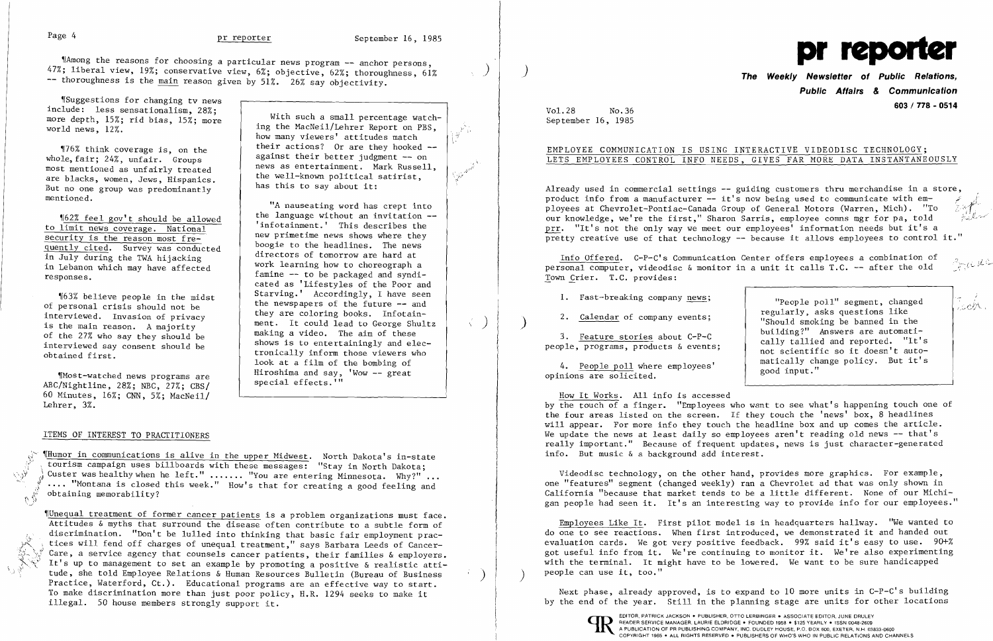47%; liberal view, 19%; conservative view, 6%; objective, 62%; thoroughness, 61%  $-$  thoroughness is the main reason given by  $51\%$ . 26% say objectivity.



~rSuggestions for changing tv news include: less sensationalism, 28%; more depth,  $15\%$ ; rid bias,  $15\%$ ; more  $\qquad$  With such a small percentage watchworld news, 12%.

most mentioned as unfairly treated<br>are blacks, women, Jews, Hispanics.<br>The well-known political satirist, But no one group was predominantly has this to say about it: mentioned.

"A nauseating word has crept into  $\frac{\text{162% feel gov't should be allowed}}{\text{1mit noise}}$  infotainment.' This describes the famine -- to be packaged and syndi-<br>cated as 'Lifestyles of the Poor and %163% believe people in the midst Starving.' Accordingly, I have seen of personal crisis should not be of personal crisis should not be the newspapers of the future -- and interviewed. Invasion of privacy they are coloring books. Infotain-Interviewed. Invasion of privacy they are coloring books. Infotain-<br>is the main reason. A majority ment. It could lead to George Shultz<br>of the 27% who say they should be making a video. The aim of these<br>interviewed say con interviewed say consent should be  $\left\{\n\begin{array}{c}\n\text{shows its to entertainingly and elec-to-} \\
\text{through the second-} \\
\text{to the second-} \\
\text{to the second-} \\
\text{to the second-} \\
\text{to the second-} \\
\text{to the second-} \\
\text{to the second-} \\
\text{to the second-} \\
\text{to the second-} \\
\text{to the second-} \\
\text{to the second-} \\
\text{to the second-} \\
\text{to the second-} \\
\text{to the second-} \\
\text{to the second-} \\
\text{to the second-} \\
\text{to the second-} \\
\text{to$ tronically inform those viewers who look at a film of the bombing of<br>Hiroshima and say, 'Wow -- great

to limit news coverage. National and the to limit news coverage. National the to limit news coverage. National the to have primetime news shows where they  $\frac{\text{security is the reason most free}}{\text{query to the head lines}}$  hew primetime news shows where they quently cited. Survey was conducted<br>in July during the TWA hijacking<br>directors of tomorrow are hard at in Lebanon which may have affected work learning how to choreograph a responses.

 ing the MacNeil/Lehrer Report on PBS, how many viewers' attitudes match  $\left\{\n\begin{array}{ccc}\n\text{176\% } \text{ think coverage is, on the} \\
\text{176\% } \text{ think coverage is, on the} \\
\text{18.} \text{ Again, 24\% } \text{ which is the same value of the original.}\n\end{array}\n\right.\n\quad \text{19.}$ whole, against their better judgment -- on fair; 24%, unfair. Groups

 $M$ Most-watched news programs are  $M$   $M$   $\sim$   $M$   $\sim$   $M$  $\sim$   $M$  $\sim$   $M$  $\sim$   $M$  $\sim$   $M$  $\sim$   $M$  $\sim$   $M$  $\sim$   $M$  $\sim$   $M$  $\sim$   $M$  $\sim$   $M$  $\sim$   $M$  $\sim$   $M$  $\sim$   $M$  $\sim$   $M$  $\sim$   $M$  $\sim$   $M$  $\sim$   $M$  $\sim$   $M$  $\sim$   $M$  $\sim$   $M$  $\$  $ABC/Nightline$ , 28%; NBC, 27%;  $CBS/$ 60 Minutes, 16%; CNN, 5%; MacNeil/ Lehrer, 3%.

### ITEMS OF INTEREST TO PRACTITIONERS

 $\mathbb{C}$  if

 $\frac{1}{2}$   $\frac{1}{2}$   $\frac{1}{2}$   $\frac{1}{2}$   $\frac{1}{2}$   $\frac{1}{2}$   $\frac{1}{2}$   $\frac{1}{2}$   $\frac{1}{2}$   $\frac{1}{2}$   $\frac{1}{2}$   $\frac{1}{2}$   $\frac{1}{2}$   $\frac{1}{2}$   $\frac{1}{2}$   $\frac{1}{2}$   $\frac{1}{2}$   $\frac{1}{2}$   $\frac{1}{2}$   $\frac{1}{2}$   $\frac{1}{2}$   $\frac{1}{2}$  tourism campaign uses billboards with these messages: "Stay in North Dakota; Wh in communications is alive in the upper Midwest. North Dakota's in-st.<br>
tourism campaign uses billboards with these messages: "Stay in North Dakota"<br>
when the left." ...... "You are entering Minnesota. Why?"<br>
.... "Mont Custer was healthy when he left." ...... "You are entering Minnesota. Why?" ... .... "Montana is closed this week." How's that for creating a good feeling and obtaining memorability?

"People poll" segment, changed<br>regularly, asks questions like "Should smoking be banned in the building?" Answers are automatically tallied and reported. "It's not scientific so it doesn't automatically change policy. But it's good input."

Employees Like It. First pilot model is in headquarters hallway. "We wanted to do one to see reactions. When first introduced, we demonstrated it and handed out evaluation cards. We got very positive feedback. 99% said it's easy to use. 90+% got useful info from it. We're continuing to monitor it. We're also experimenting with the terminal. It might have to be lowered. We want to be sure handicapped people can use it, too."

~IUnequal treatment of former cancer patients is a problem organizations must face. Attitudes & myths that surround the disease often contribute to a subtle form of discrimination. "Don't be lulled into thinking that basic fair employment prac-<br>tices will fend off charges of unequal treatment," says Barbara Leeds of Cancer-<br>Care, a service agency that counsels cancer patients, their f Care, a service agency that counsels cancer patients, their families & employers. It's up to management to set an example by promoting a positive & realistic attitude, she told Employee Relations & Human Resources Bulletin (Bureau of Business Practice, Waterford, Ct.). Educational programs are an effective way to start. To make discrimination more than just poor policy, H.R. 1294 seeks to make it illegal. 50 house members strongly support it.

Next phase, already approved, is to expand to 10 more units in C-P-C's building by the end of the year. Still in the planning stage are units for other locations

## ) **The Weekly Newsletter of Public Relations, Public Affairs** *&* **Communication 603/778 - <sup>0514</sup>** Vol.28 No.36

September 16, 1985

### EMPLOYEE COMMUNICATION IS USING INTERACTIVE VIDEODISC TECHNOLOGY; LETS EMPLOYEES CONTROL INFO NEEDS, GIVES FAR MORE DATA INSTANTANEOUSLY

Already used in commercial settings -- guiding customers thru merchandise in a store,<br>product info from a manufacturer -- it's now being used to communicate with em-EMPLOYEE COMMUNICATION IS USING INTERACTIVE<br>
LETS EMPLOYEES CONTROL INFO NEEDS, GIVES FAR<br>
Already used in commercial settings -- guiding custor<br>
product info from a manufacturer -- it's now being us<br>
ployees at Chevroletproduct info from a manufacturer -- it's now being used to communicate with em-<br>ployees at Chevrolet-Pontiac-Canada Group of General Motors (Warren, Mich). "To our knowledge, we're the first," Sharon Sarris, employee comns mgr for pa, told prr. "It's not the only way we meet our employees' information needs but it's a pretty creative use of that technology -- because it allows employees to control it."

Info Offered. C-P-C's Communication Center offers employees a combination of personal computer, videodisc & monitor in a unit it calls T.C. -- after the old Town Crier. T.C. provides:

1. Fast-breaking company news;

2. Calendar of company events;

3. Feature stories about C-P-C people, programs, products & events;

4. People poll where employees' opinions are solicited.

How It Works. All info is accessed by the touch of a finger. "Employees who want to see what's happening touch one of the four areas listed on the screen. If they touch the 'news' box, 8 headlines will appear. For more info they touch the headline box and up comes the article. We update the news at least daily so employees aren't reading old news  $-$  that's really important." Because of frequent updates, news is just character-generated info. But music & a background add interest.

Videodisc technology, on the other hand, provides more graphics. For example, one "features" segment (changed weekly) ran a Chevrolet ad that was only shown in California "because that market tends to be a little different. None of our Michigan people had seen it. It's an interesting way to provide info for our employees."